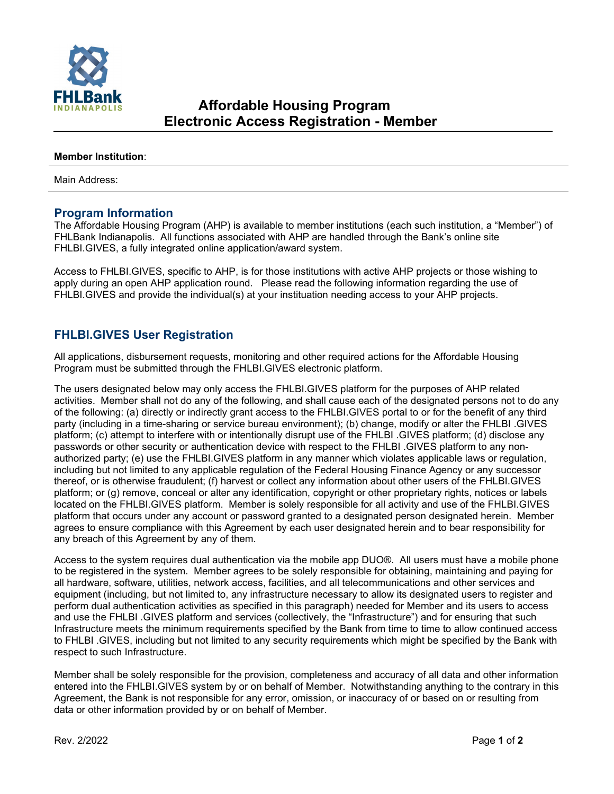

### **Member Institution**:

Main Address:

## **Program Information**

The Affordable Housing Program (AHP) is available to member institutions (each such institution, a "Member") of FHLBank Indianapolis. All functions associated with AHP are handled through the Bank's online site FHLBI.GIVES, a fully integrated online application/award system.

Access to FHLBI.GIVES, specific to AHP, is for those institutions with active AHP projects or those wishing to apply during an open AHP application round. Please read the following information regarding the use of FHLBI.GIVES and provide the individual(s) at your instituation needing access to your AHP projects.

# **FHLBI.GIVES User Registration**

All applications, disbursement requests, monitoring and other required actions for the Affordable Housing Program must be submitted through the FHLBI.GIVES electronic platform.

The users designated below may only access the FHLBI.GIVES platform for the purposes of AHP related activities. Member shall not do any of the following, and shall cause each of the designated persons not to do any of the following: (a) directly or indirectly grant access to the FHLBI.GIVES portal to or for the benefit of any third party (including in a time-sharing or service bureau environment); (b) change, modify or alter the FHLBI .GIVES platform; (c) attempt to interfere with or intentionally disrupt use of the FHLBI .GIVES platform; (d) disclose any passwords or other security or authentication device with respect to the FHLBI .GIVES platform to any nonauthorized party; (e) use the FHLBI.GIVES platform in any manner which violates applicable laws or regulation, including but not limited to any applicable regulation of the Federal Housing Finance Agency or any successor thereof, or is otherwise fraudulent; (f) harvest or collect any information about other users of the FHLBI.GIVES platform; or (g) remove, conceal or alter any identification, copyright or other proprietary rights, notices or labels located on the FHLBI.GIVES platform. Member is solely responsible for all activity and use of the FHLBI.GIVES platform that occurs under any account or password granted to a designated person designated herein. Member agrees to ensure compliance with this Agreement by each user designated herein and to bear responsibility for any breach of this Agreement by any of them.

Access to the system requires dual authentication via the mobile app DUO®. All users must have a mobile phone to be registered in the system. Member agrees to be solely responsible for obtaining, maintaining and paying for all hardware, software, utilities, network access, facilities, and all telecommunications and other services and equipment (including, but not limited to, any infrastructure necessary to allow its designated users to register and perform dual authentication activities as specified in this paragraph) needed for Member and its users to access and use the FHLBI .GIVES platform and services (collectively, the "Infrastructure") and for ensuring that such Infrastructure meets the minimum requirements specified by the Bank from time to time to allow continued access to FHLBI .GIVES, including but not limited to any security requirements which might be specified by the Bank with respect to such Infrastructure.

Member shall be solely responsible for the provision, completeness and accuracy of all data and other information entered into the FHLBI.GIVES system by or on behalf of Member. Notwithstanding anything to the contrary in this Agreement, the Bank is not responsible for any error, omission, or inaccuracy of or based on or resulting from data or other information provided by or on behalf of Member.